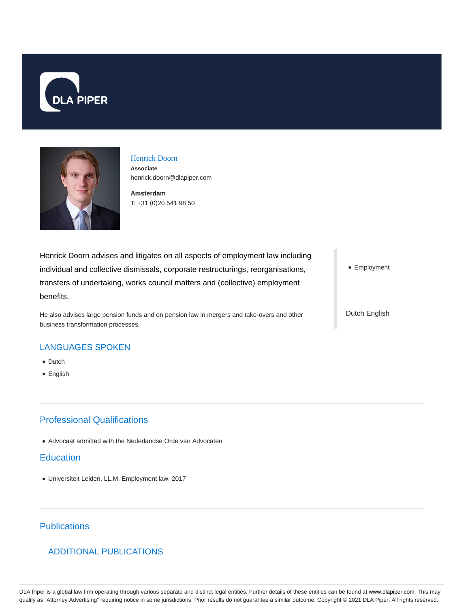



# Henrick Doorn

**Associate** henrick.doorn@dlapiper.com

**Amsterdam** T: +31 (0)20 541 98 50

Henrick Doorn advises and litigates on all aspects of employment law including individual and collective dismissals, corporate restructurings, reorganisations, transfers of undertaking, works council matters and (collective) employment benefits.

He also advises large pension funds and on pension law in mergers and take-overs and other business transformation processes.

• Employment

Dutch English

#### LANGUAGES SPOKEN

- Dutch
- English

## Professional Qualifications

Advocaat admitted with the Nederlandse Orde van Advocaten

#### **Education**

Universiteit Leiden, LL.M. Employment law, 2017

## **Publications**

### ADDITIONAL PUBLICATIONS

DLA Piper is a global law firm operating through various separate and distinct legal entities. Further details of these entities can be found at www.dlapiper.com. This may qualify as "Attorney Advertising" requiring notice in some jurisdictions. Prior results do not guarantee a similar outcome. Copyright © 2021 DLA Piper. All rights reserved.